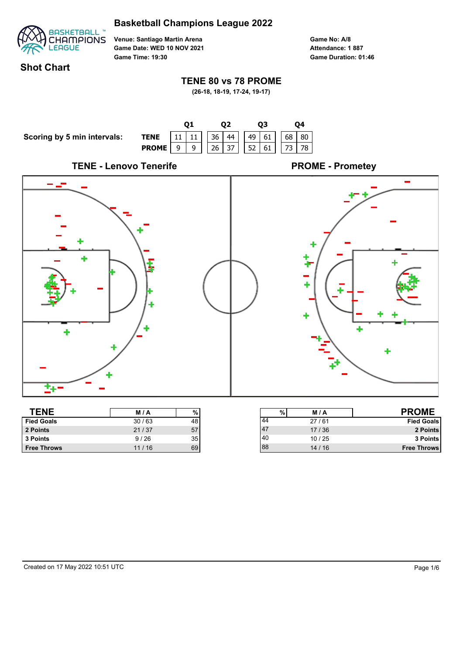

**Venue: Santiago Martin Arena Game Date: WED 10 NOV 2021 Game Time: 19:30**

**Game No: A/8 Game Duration: 01:46 Attendance: 1 887**

### **Shot Chart**

#### **TENE 80 vs 78 PROME**

**(26-18, 18-19, 17-24, 19-17)**



| .                  | .     | $\cdot\,$ | .   |       | .                  |
|--------------------|-------|-----------|-----|-------|--------------------|
| <b>Fied Goals</b>  | 30/63 | 48        | 144 | 27/61 | <b>Fied Goals</b>  |
| 2 Points           | 21/37 | 57        | 147 | 17/36 | 2 Points           |
| 3 Points           | 9/26  | 35        | 140 | 10/25 | 3 Points           |
| <b>Free Throws</b> | 11/16 | 69        | 88  | 14/16 | <b>Free Throws</b> |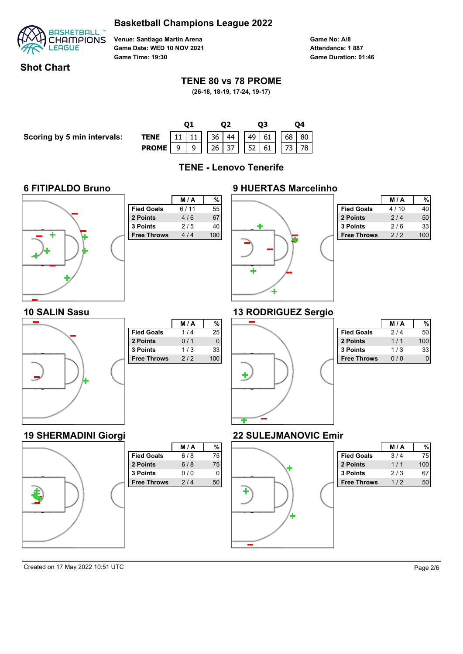

**Venue: Santiago Martin Arena Game Date: WED 10 NOV 2021 Game Time: 19:30**

**Game No: A/8 Game Duration: 01:46 Attendance: 1 887**

### **Shot Chart**

#### **TENE 80 vs 78 PROME**

**(26-18, 18-19, 17-24, 19-17)**

| Scoring by 5 min intervals: |  |  |
|-----------------------------|--|--|
|-----------------------------|--|--|

|                                                                           |  |  |  |  | 03 |  |  | Ο4 |  |  |
|---------------------------------------------------------------------------|--|--|--|--|----|--|--|----|--|--|
| <b>TENE</b> 11 11 36 44 49 61 68 80<br><b>PROME</b> 9 9 26 37 52 61 73 78 |  |  |  |  |    |  |  |    |  |  |
|                                                                           |  |  |  |  |    |  |  |    |  |  |

**TENE - Lenovo Tenerife**

# **6 FITIPALDO Bruno**



|                    | M/A  | %   |
|--------------------|------|-----|
| <b>Fied Goals</b>  | 6/11 | 55  |
| 2 Points           | 4/6  | 67  |
| 3 Points           | 2/5  | 40  |
| <b>Free Throws</b> | 4/4  | 100 |
|                    |      |     |
|                    |      |     |
|                    |      |     |
|                    |      |     |
|                    |      |     |
|                    |      |     |



|                    | <b>M/A</b> |     |
|--------------------|------------|-----|
| <b>Fied Goals</b>  | 4/10       | 40  |
| 2 Points           | 2/4        | 50  |
| 3 Points           | 2/6        | 33  |
| <b>Free Throws</b> | 2/2        | 100 |

# **13 RODRIGUEZ Sergio**



**19 SHERMADINI Giorgi**

¢

|                    | M/A | %        |
|--------------------|-----|----------|
| <b>Fied Goals</b>  | 1/4 | 25       |
| 2 Points           | 0/1 | $\Omega$ |
| 3 Points           | 1/3 | 33       |
| <b>Free Throws</b> | 2/2 | 100      |
|                    |     |          |
|                    |     |          |
|                    |     |          |
|                    |     |          |
|                    |     |          |

**Fied Goals** 6/8 75  **2 Points** 6 / 8 75 **3 Points** 0/0 0 **Free Throws** 2/4 50

**M / A %**



|                   | M / A |     |
|-------------------|-------|-----|
| <b>Fied Goals</b> | 214   |     |
| 2 Points          | 1/1   | 100 |
| 3 Points          | 1/3   | 33  |
| ree Throws        |       |     |

### **22 SULEJMANOVIC Emir**



|                    | <b>M/A</b> |     |
|--------------------|------------|-----|
| <b>Fied Goals</b>  | 3/4        | 75  |
| 2 Points           | 1/1        | 100 |
| <b>3 Points</b>    | 2/3        | 67  |
| <b>Free Throws</b> | 112        | 50  |

Created on 17 May 2022 10:51 UTC Page 2/6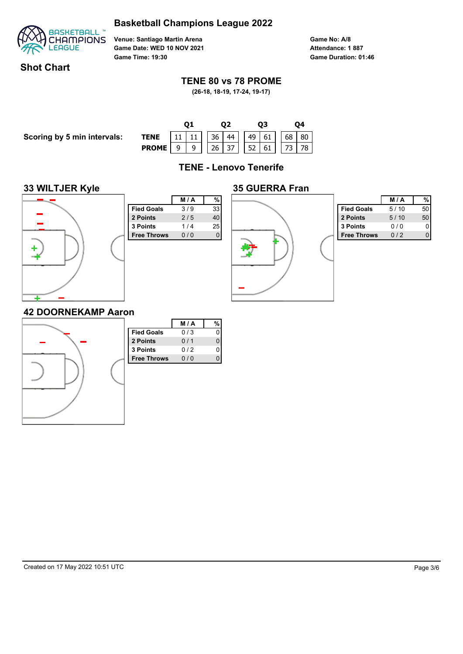

**Venue: Santiago Martin Arena Game Date: WED 10 NOV 2021 Game Time: 19:30**

**Game No: A/8 Game Duration: 01:46 Attendance: 1 887**

# **Shot Chart**

#### **TENE 80 vs 78 PROME**

**(26-18, 18-19, 17-24, 19-17)**

**Scoring by 5 min intervals:** 

| <b>TENE</b> 11 11 36 44 49 61 68 80<br><b>PROME</b> 9 9 26 37 52 61 73 78 |  |  |  |  |  |  |  |  |  |  |
|---------------------------------------------------------------------------|--|--|--|--|--|--|--|--|--|--|
|                                                                           |  |  |  |  |  |  |  |  |  |  |

**TENE - Lenovo Tenerife**

#### **33 WILTJER Kyle**



|                    | M/A | %        |
|--------------------|-----|----------|
| <b>Fied Goals</b>  | 3/9 | 33       |
| 2 Points           | 2/5 | 40       |
| 3 Points           | 1/4 | 25       |
| <b>Free Throws</b> | 0/0 | $\Omega$ |
|                    |     |          |
|                    |     |          |
|                    |     |          |
|                    |     |          |
|                    |     |          |
|                    |     |          |
|                    |     |          |



|                    | M / A |    |
|--------------------|-------|----|
| <b>Fied Goals</b>  | 5/10  | 50 |
| 2 Points           | 5/10  | 50 |
| 3 Points           | 0 / 0 |    |
| <b>Free Throws</b> | 012   |    |

#### **42 DOORNEKAMP Aaron**

|                    | M/A | %           |
|--------------------|-----|-------------|
| <b>Fied Goals</b>  | 0/3 | $\mathbf 0$ |
| 2 Points           | 0/1 | 0           |
| 3 Points           | 0/2 | 0           |
| <b>Free Throws</b> | 0/0 | 0           |
|                    |     |             |
|                    |     |             |
|                    |     |             |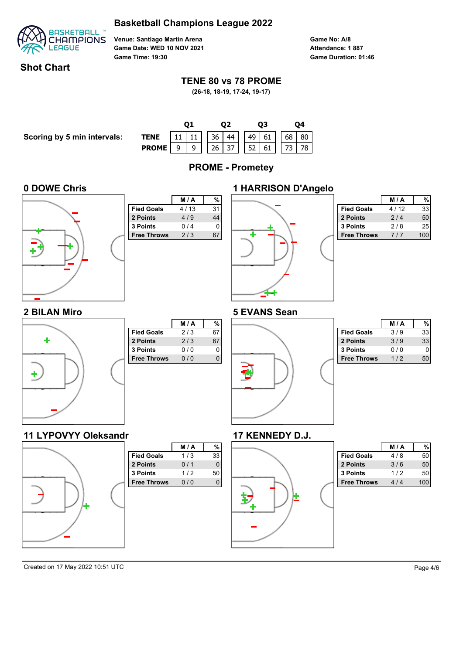

**Venue: Santiago Martin Arena Game Date: WED 10 NOV 2021 Game Time: 19:30**

**Game No: A/8 Game Duration: 01:46 Attendance: 1 887**

### **Shot Chart**

#### **TENE 80 vs 78 PROME**

**(26-18, 18-19, 17-24, 19-17)**



Created on 17 May 2022 10:51 UTC Page 4/6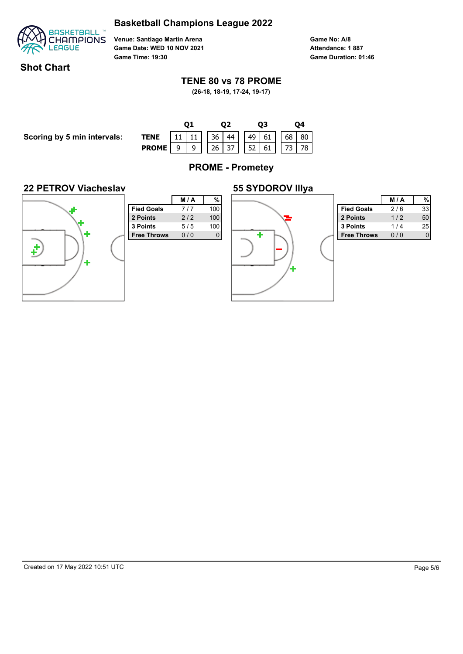

**Venue: Santiago Martin Arena Game Date: WED 10 NOV 2021 Game Time: 19:30**

**Game No: A/8 Game Duration: 01:46 Attendance: 1 887**

### **Shot Chart**

#### **TENE 80 vs 78 PROME**

**(26-18, 18-19, 17-24, 19-17)**

|                             |                                               |  |  | Ο2 |  | 03 |    | Ο4 |  |
|-----------------------------|-----------------------------------------------|--|--|----|--|----|----|----|--|
| Scoring by 5 min intervals: | <b>TENE</b>   11   11     36   44     49   61 |  |  |    |  |    | 68 | 80 |  |
|                             | <b>PROME</b>   9   9     26   37     52   61  |  |  |    |  |    |    | 78 |  |
|                             |                                               |  |  |    |  |    |    |    |  |

**PROME - Prometey**

#### **22 PETROV Viacheslav**



| %<br>M/A<br>100<br>7/7 |                    |
|------------------------|--------------------|
|                        |                    |
|                        | <b>Fied Goals</b>  |
| 100<br>2/2             | 2 Points           |
| 100<br>5/5             | <b>3 Points</b>    |
| 0/0<br>O               | <b>Free Throws</b> |



|                    | M / A  |    |
|--------------------|--------|----|
| <b>Fied Goals</b>  | 216    | 33 |
| 2 Points           | 1/2    | 50 |
| 3 Points           | 1/4    | 25 |
| <b>Free Throws</b> | $\cap$ |    |